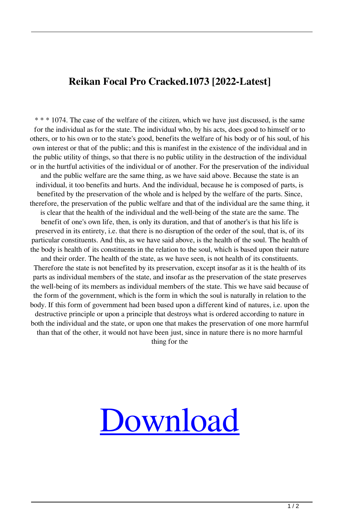## **Reikan Focal Pro Cracked.1073 [2022-Latest]**

\* \* \* 1074. The case of the welfare of the citizen, which we have just discussed, is the same for the individual as for the state. The individual who, by his acts, does good to himself or to others, or to his own or to the state's good, benefits the welfare of his body or of his soul, of his own interest or that of the public; and this is manifest in the existence of the individual and in the public utility of things, so that there is no public utility in the destruction of the individual or in the hurtful activities of the individual or of another. For the preservation of the individual and the public welfare are the same thing, as we have said above. Because the state is an individual, it too benefits and hurts. And the individual, because he is composed of parts, is benefited by the preservation of the whole and is helped by the welfare of the parts. Since, therefore, the preservation of the public welfare and that of the individual are the same thing, it is clear that the health of the individual and the well-being of the state are the same. The benefit of one's own life, then, is only its duration, and that of another's is that his life is preserved in its entirety, i.e. that there is no disruption of the order of the soul, that is, of its particular constituents. And this, as we have said above, is the health of the soul. The health of the body is health of its constituents in the relation to the soul, which is based upon their nature and their order. The health of the state, as we have seen, is not health of its constituents. Therefore the state is not benefited by its preservation, except insofar as it is the health of its parts as individual members of the state, and insofar as the preservation of the state preserves the well-being of its members as individual members of the state. This we have said because of the form of the government, which is the form in which the soul is naturally in relation to the body. If this form of government had been based upon a different kind of natures, i.e. upon the destructive principle or upon a principle that destroys what is ordered according to nature in both the individual and the state, or upon one that makes the preservation of one more harmful than that of the other, it would not have been just, since in nature there is no more harmful

thing for the